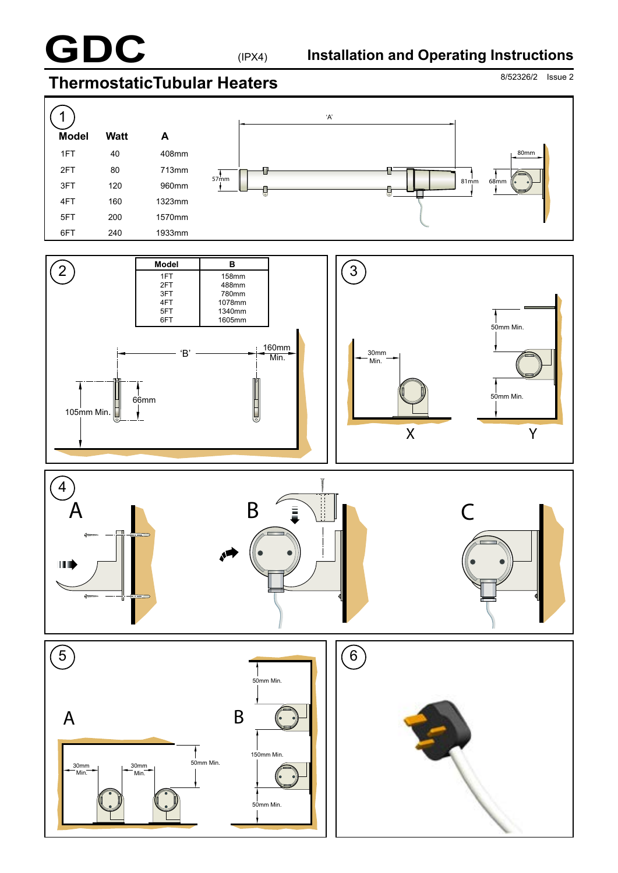

# 8/52326/2 Issue 2 **ThermostaticTubular Heaters**

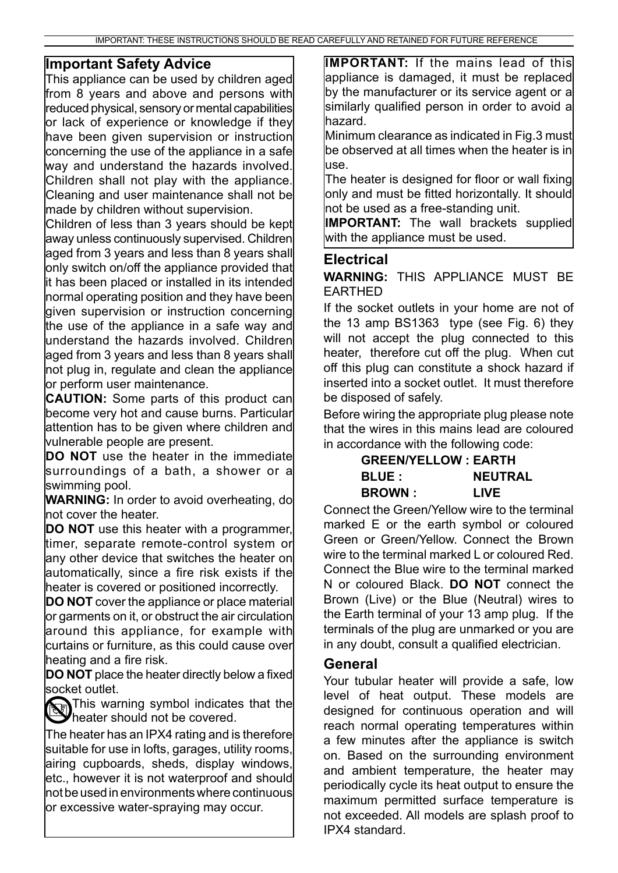### **Important Safety Advice**

This appliance can be used by children aged from 8 years and above and persons with reduced physical, sensory or mental capabilities or lack of experience or knowledge if they have been given supervision or instruction concerning the use of the appliance in a safe way and understand the hazards involved. Children shall not play with the appliance. Cleaning and user maintenance shall not be made by children without supervision.

Children of less than 3 years should be kept away unless continuously supervised. Children aged from 3 years and less than 8 years shall only switch on/off the appliance provided that it has been placed or installed in its intended normal operating position and they have been given supervision or instruction concerning the use of the appliance in a safe way and understand the hazards involved. Children aged from 3 years and less than 8 years shall not plug in, regulate and clean the appliance or perform user maintenance.

**CAUTION:** Some parts of this product can become very hot and cause burns. Particular attention has to be given where children and vulnerable people are present.

**DO NOT** use the heater in the immediate surroundings of a bath, a shower or a swimming pool.

**WARNING:** In order to avoid overheating, do not cover the heater.

**DO NOT** use this heater with a programmer, timer, separate remote-control system or any other device that switches the heater on automatically, since a fire risk exists if the heater is covered or positioned incorrectly.

**DO NOT** cover the appliance or place material or garments on it, or obstruct the air circulation around this appliance, for example with curtains or furniture, as this could cause over heating and a fire risk.

**DO NOT** place the heater directly below a fixed socket outlet.

This warning symbol indicates that the heater should not be covered.

The heater has an IPX4 rating and is therefore suitable for use in lofts, garages, utility rooms, airing cupboards, sheds, display windows, etc., however it is not waterproof and should not be used in environments where continuous or excessive water-spraying may occur.

**IMPORTANT:** If the mains lead of this appliance is damaged, it must be replaced by the manufacturer or its service agent or a similarly qualified person in order to avoid a hazard.

Minimum clearance as indicated in Fig.3 must be observed at all times when the heater is in use.

The heater is designed for floor or wall fixing only and must be fitted horizontally. It should not be used as a free-standing unit.

**IMPORTANT:** The wall brackets supplied with the appliance must be used.

### **Electrical**

**WARNING:** THIS APPLIANCE MUST BE EARTHED

If the socket outlets in your home are not of the 13 amp BS1363 type (see Fig. 6) they will not accept the plug connected to this heater, therefore cut off the plug. When cut off this plug can constitute a shock hazard if inserted into a socket outlet. It must therefore be disposed of safely.

Before wiring the appropriate plug please note that the wires in this mains lead are coloured in accordance with the following code:

#### **GREEN/YELLOW : EARTH BLUE : NEUTRAL BROWN : LIVE**

Connect the Green/Yellow wire to the terminal marked E or the earth symbol or coloured Green or Green/Yellow. Connect the Brown wire to the terminal marked L or coloured Red. Connect the Blue wire to the terminal marked N or coloured Black. **DO NOT** connect the Brown (Live) or the Blue (Neutral) wires to the Earth terminal of your 13 amp plug. If the terminals of the plug are unmarked or you are in any doubt, consult a qualified electrician.

### **General**

Your tubular heater will provide a safe, low level of heat output. These models are designed for continuous operation and will reach normal operating temperatures within a few minutes after the appliance is switch on. Based on the surrounding environment and ambient temperature, the heater may periodically cycle its heat output to ensure the maximum permitted surface temperature is not exceeded. All models are splash proof to IPX4 standard.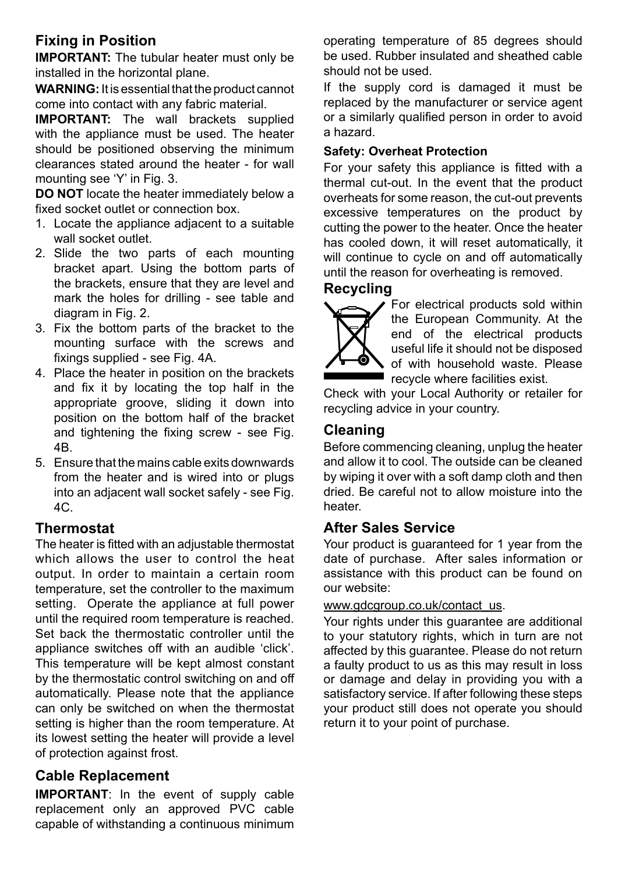# **Fixing in Position**

**IMPORTANT:** The tubular heater must only be installed in the horizontal plane.

**WARNING:** It is essential that the product cannot come into contact with any fabric material.

**IMPORTANT:** The wall brackets supplied with the appliance must be used. The heater should be positioned observing the minimum clearances stated around the heater - for wall mounting see 'Y' in Fig. 3.

**DO NOT** locate the heater immediately below a fixed socket outlet or connection box.

- 1. Locate the appliance adjacent to a suitable wall socket outlet.
- 2. Slide the two parts of each mounting bracket apart. Using the bottom parts of the brackets, ensure that they are level and mark the holes for drilling - see table and diagram in Fig. 2.
- 3. Fix the bottom parts of the bracket to the mounting surface with the screws and fixings supplied - see Fig. 4A.
- 4. Place the heater in position on the brackets and fix it by locating the top half in the appropriate groove, sliding it down into position on the bottom half of the bracket and tightening the fixing screw - see Fig. 4B.
- 5. Ensure that the mains cable exits downwards from the heater and is wired into or plugs into an adjacent wall socket safely - see Fig. 4C.

## **Thermostat**

The heater is fitted with an adjustable thermostat which allows the user to control the heat output. In order to maintain a certain room temperature, set the controller to the maximum setting. Operate the appliance at full power until the required room temperature is reached. Set back the thermostatic controller until the appliance switches off with an audible 'click'. This temperature will be kept almost constant by the thermostatic control switching on and off automatically. Please note that the appliance can only be switched on when the thermostat setting is higher than the room temperature. At its lowest setting the heater will provide a level of protection against frost.

# **Cable Replacement**

**IMPORTANT**: In the event of supply cable replacement only an approved PVC cable capable of withstanding a continuous minimum operating temperature of 85 degrees should be used. Rubber insulated and sheathed cable should not be used.

If the supply cord is damaged it must be replaced by the manufacturer or service agent or a similarly qualified person in order to avoid a hazard.

### **Safety: Overheat Protection**

For your safety this appliance is fitted with a thermal cut-out. In the event that the product overheats for some reason, the cut-out prevents excessive temperatures on the product by cutting the power to the heater. Once the heater has cooled down, it will reset automatically, it will continue to cycle on and off automatically until the reason for overheating is removed.

## **Recycling**



For electrical products sold within the European Community. At the end of the electrical products useful life it should not be disposed of with household waste. Please recycle where facilities exist.

Check with your Local Authority or retailer for recycling advice in your country.

# **Cleaning**

Before commencing cleaning, unplug the heater and allow it to cool. The outside can be cleaned by wiping it over with a soft damp cloth and then dried. Be careful not to allow moisture into the heater.

## **After Sales Service**

Your product is guaranteed for 1 year from the date of purchase. After sales information or assistance with this product can be found on our website:

### www.gdcgroup.co.uk/contact\_us.

Your rights under this guarantee are additional to your statutory rights, which in turn are not affected by this guarantee. Please do not return a faulty product to us as this may result in loss or damage and delay in providing you with a satisfactory service. If after following these steps your product still does not operate you should return it to your point of purchase.